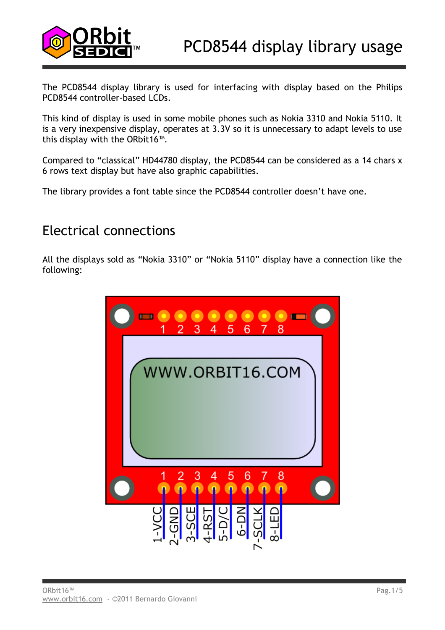

The PCD8544 display library is used for interfacing with display based on the Philips PCD8544 controller-based LCDs.

This kind of display is used in some mobile phones such as Nokia 3310 and Nokia 5110. It is a very inexpensive display, operates at 3.3V so it is unnecessary to adapt levels to use this display with the ORbit16™.

Compared to "classical" HD44780 display, the PCD8544 can be considered as a 14 chars x 6 rows text display but have also graphic capabilities.

The library provides a font table since the PCD8544 controller doesn't have one.

# Electrical connections

All the displays sold as "Nokia 3310" or "Nokia 5110" display have a connection like the following:

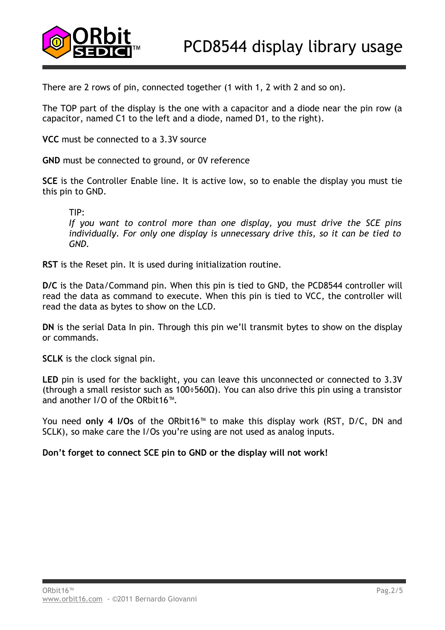

There are 2 rows of pin, connected together (1 with 1, 2 with 2 and so on).

The TOP part of the display is the one with a capacitor and a diode near the pin row (a capacitor, named C1 to the left and a diode, named D1, to the right).

**VCC** must be connected to a 3.3V source

**GND** must be connected to ground, or 0V reference

**SCE** is the Controller Enable line. It is active low, so to enable the display you must tie this pin to GND.

TIP:

*If you want to control more than one display, you must drive the SCE pins individually. For only one display is unnecessary drive this, so it can be tied to GND.*

**RST** is the Reset pin. It is used during initialization routine.

**D/C** is the Data/Command pin. When this pin is tied to GND, the PCD8544 controller will read the data as command to execute. When this pin is tied to VCC, the controller will read the data as bytes to show on the LCD.

**DN** is the serial Data In pin. Through this pin we'll transmit bytes to show on the display or commands.

**SCLK** is the clock signal pin.

LED pin is used for the backlight, you can leave this unconnected or connected to 3.3V (through a small resistor such as 100÷560Ω). You can also drive this pin using a transistor and another I/O of the ORbit16™.

You need **only 4 I/Os** of the ORbit16™ to make this display work (RST, D/C, DN and SCLK), so make care the I/Os you're using are not used as analog inputs.

**Don't forget to connect SCE pin to GND or the display will not work!**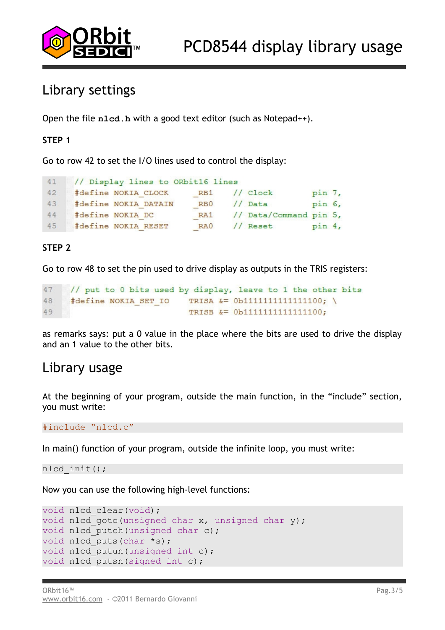

# Library settings

Open the file **nlcd.h** with a good text editor (such as Notepad++).

## **STEP 1**

Go to row 42 to set the I/O lines used to control the display:

```
41// Display lines to ORbit16 lines
     #define NOKIA CLOCK
                           RB1 // Clock
42
                                                 pin 7,
43#define NOKIA DATAIN
                           RB<sub>0</sub>
                                  // Data
                                                 pin 6,
    #define NOKIA DC
44RA1 // Data/Command pin 5,
    #define NOKIA RESET
                           RA<sub>0</sub>
                                  // Reset pin 4,
45
```
## **STEP 2**

Go to row 48 to set the pin used to drive display as outputs in the TRIS registers:

```
47
     // put to 0 bits used by display, leave to 1 the other bits
48
     #define NOKIA SET IO
                             TRISA &= 0b1111111111111100; \
                             TRISB &= 0b1111111111111100;
49
```
as remarks says: put a 0 value in the place where the bits are used to drive the display and an 1 value to the other bits.

## Library usage

At the beginning of your program, outside the main function, in the "include" section, you must write:

#include "nlcd.c"

In main() function of your program, outside the infinite loop, you must write:

nlcd\_init();

Now you can use the following high-level functions:

```
void nlcd clear(void);
void nlcd goto(unsigned char x, unsigned char y);
void nlcd putch(unsigned char c);
void nlcd puts(char *s);
void nlcd putun (unsigned int c);
void nlcd putsn(signed int c);
```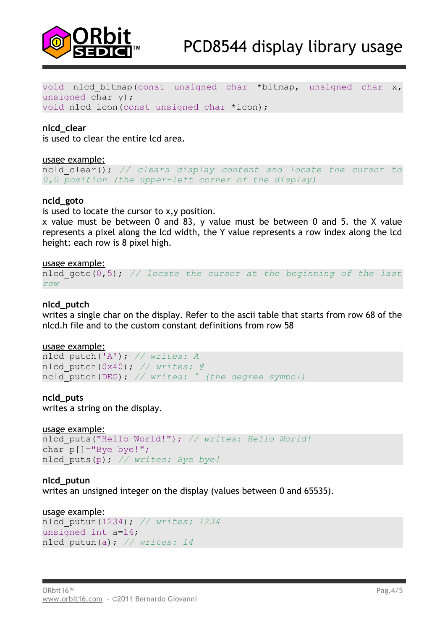

void nlcd bitmap(const unsigned char \*bitmap, unsigned char x, unsigned char y); void nlcd icon(const unsigned char \*icon);

#### **nlcd\_clear**

is used to clear the entire lcd area.

#### usage example:

ncld\_clear(); *// clears display content and locate the cursor to 0,0 position (the upper-left corner of the display)*

#### **ncld\_goto**

is used to locate the cursor to x,y position.

x value must be between 0 and 83, y value must be between 0 and 5. the X value represents a pixel along the lcd width, the Y value represents a row index along the lcd height: each row is 8 pixel high.

#### usage example:

```
nlcd_goto(0,5); // locate the cursor at the beginning of the last
row
```
#### **nlcd\_putch**

writes a single char on the display. Refer to the ascii table that starts from row 68 of the nlcd.h file and to the custom constant definitions from row 58

#### usage example:

```
nlcd_putch('A'); // writes: A
nlcd_putch(0x40); // writes: @
ncld_putch(DEG); // writes: ° (the degree symbol)
```
#### **ncld\_puts**

writes a string on the display.

```
usage example:
nlcd_puts("Hello World!"); // writes: Hello World!
char p[]="Bye bye!";
nlcd_puts(p); // writes: Bye bye!
```
**nlcd\_putun** writes an unsigned integer on the display (values between 0 and 65535).

```
usage example:
nlcd_putun(1234); // writes: 1234
unsigned int a=14;
nlcd_putun(a); // writes: 14
```